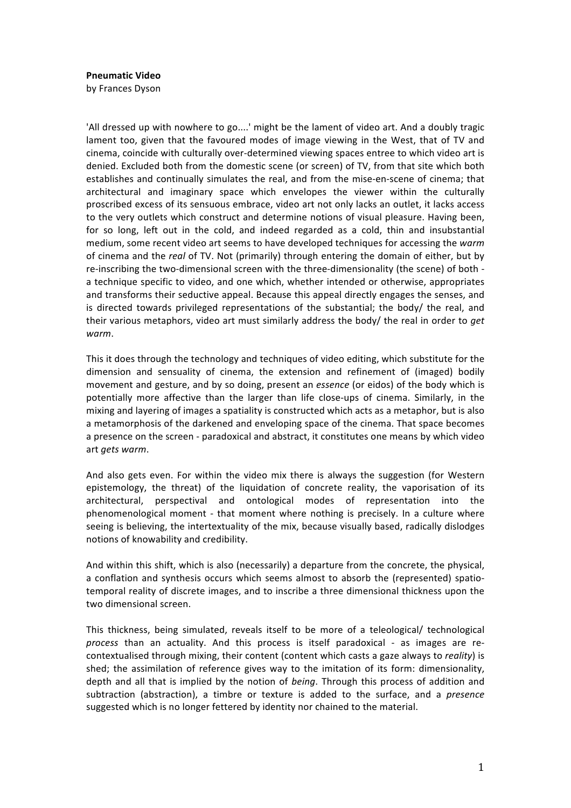**Pneumatic Video** 

by Frances Dyson

'All dressed up with nowhere to go....' might be the lament of video art. And a doubly tragic lament too, given that the favoured modes of image viewing in the West, that of TV and cinema, coincide with culturally over-determined viewing spaces entree to which video art is denied. Excluded both from the domestic scene (or screen) of TV, from that site which both establishes and continually simulates the real, and from the mise-en-scene of cinema; that architectural and imaginary space which envelopes the viewer within the culturally proscribed excess of its sensuous embrace, video art not only lacks an outlet, it lacks access to the very outlets which construct and determine notions of visual pleasure. Having been, for so long, left out in the cold, and indeed regarded as a cold, thin and insubstantial medium, some recent video art seems to have developed techniques for accessing the *warm* of cinema and the *real* of TV. Not (primarily) through entering the domain of either, but by re-inscribing the two-dimensional screen with the three-dimensionality (the scene) of both a technique specific to video, and one which, whether intended or otherwise, appropriates and transforms their seductive appeal. Because this appeal directly engages the senses, and is directed towards privileged representations of the substantial; the body/ the real, and their various metaphors, video art must similarly address the body/ the real in order to *get warm*.

This it does through the technology and techniques of video editing, which substitute for the dimension and sensuality of cinema, the extension and refinement of (imaged) bodily movement and gesture, and by so doing, present an *essence* (or eidos) of the body which is potentially more affective than the larger than life close-ups of cinema. Similarly, in the mixing and layering of images a spatiality is constructed which acts as a metaphor, but is also a metamorphosis of the darkened and enveloping space of the cinema. That space becomes a presence on the screen - paradoxical and abstract, it constitutes one means by which video art#*gets)warm*.

And also gets even. For within the video mix there is always the suggestion (for Western epistemology, the threat) of the liquidation of concrete reality, the vaporisation of its architectural, perspectival and ontological modes of representation into the phenomenological moment - that moment where nothing is precisely. In a culture where seeing is believing, the intertextuality of the mix, because visually based, radically dislodges notions of knowability and credibility.

And within this shift, which is also (necessarily) a departure from the concrete, the physical, a conflation and synthesis occurs which seems almost to absorb the (represented) spatiotemporal reality of discrete images, and to inscribe a three dimensional thickness upon the two dimensional screen.

This thickness, being simulated, reveals itself to be more of a teleological/ technological *process* than an actuality. And this process is itself paradoxical - as images are recontextualised through mixing, their content (content which casts a gaze always to *reality*) is shed; the assimilation of reference gives way to the imitation of its form: dimensionality, depth and all that is implied by the notion of *being*. Through this process of addition and subtraction (abstraction), a timbre or texture is added to the surface, and a *presence* suggested which is no longer fettered by identity nor chained to the material.